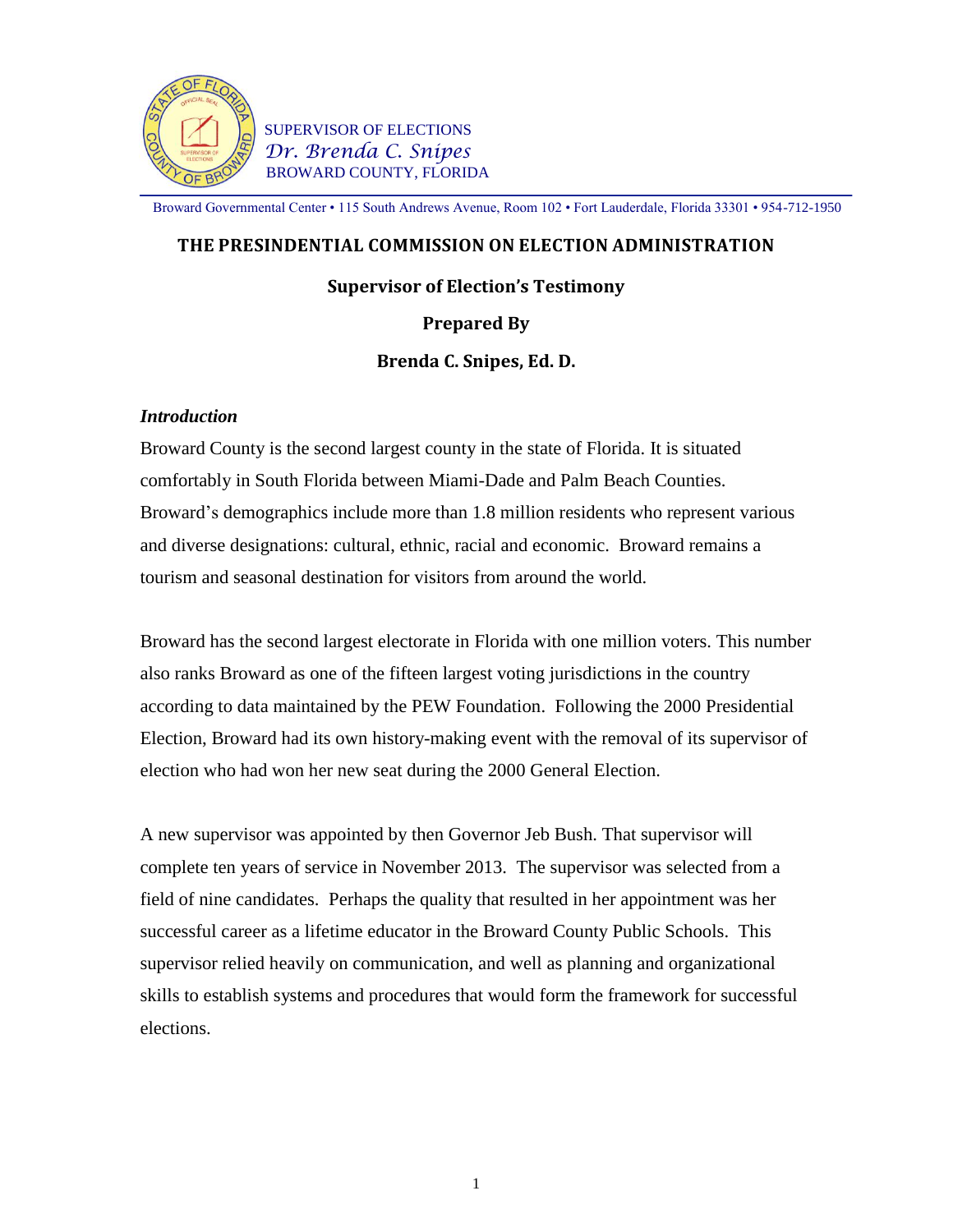

**SUPERVISOR OF ELECTIONS**  *Dr. Brenda C. Snipes* BROWARD COUNTY, FLORIDA

Broward Governmental Center • 115 South Andrews Avenue, Room 102 • Fort Lauderdale, Florida 33301 • 954-712-1950

#### **THE PRESINDENTIAL COMMISSION ON ELECTION ADMINISTRATION**

#### **Supervisor of Election's Testimony**

#### **Prepared By**

**Brenda C. Snipes, Ed. D.**

#### *Introduction*

Broward County is the second largest county in the state of Florida. It is situated comfortably in South Florida between Miami-Dade and Palm Beach Counties. Broward's demographics include more than 1.8 million residents who represent various and diverse designations: cultural, ethnic, racial and economic. Broward remains a tourism and seasonal destination for visitors from around the world.

Broward has the second largest electorate in Florida with one million voters. This number also ranks Broward as one of the fifteen largest voting jurisdictions in the country according to data maintained by the PEW Foundation. Following the 2000 Presidential Election, Broward had its own history-making event with the removal of its supervisor of election who had won her new seat during the 2000 General Election.

A new supervisor was appointed by then Governor Jeb Bush. That supervisor will complete ten years of service in November 2013. The supervisor was selected from a field of nine candidates. Perhaps the quality that resulted in her appointment was her successful career as a lifetime educator in the Broward County Public Schools. This supervisor relied heavily on communication, and well as planning and organizational skills to establish systems and procedures that would form the framework for successful elections.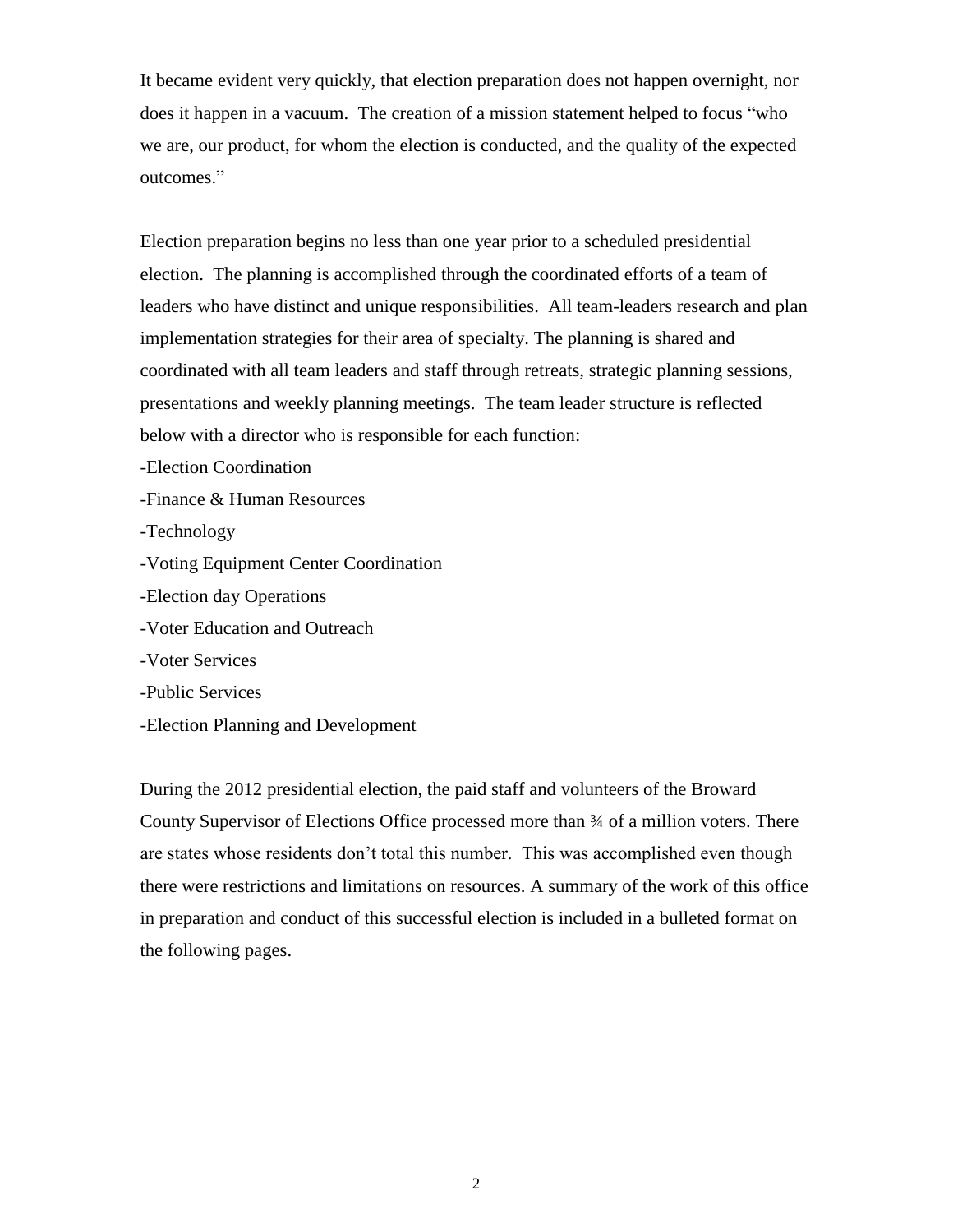It became evident very quickly, that election preparation does not happen overnight, nor does it happen in a vacuum. The creation of a mission statement helped to focus "who we are, our product, for whom the election is conducted, and the quality of the expected outcomes."

Election preparation begins no less than one year prior to a scheduled presidential election. The planning is accomplished through the coordinated efforts of a team of leaders who have distinct and unique responsibilities. All team-leaders research and plan implementation strategies for their area of specialty. The planning is shared and coordinated with all team leaders and staff through retreats, strategic planning sessions, presentations and weekly planning meetings. The team leader structure is reflected below with a director who is responsible for each function:

-Election Coordination

-Finance & Human Resources

-Technology

-Voting Equipment Center Coordination

- -Election day Operations
- -Voter Education and Outreach
- -Voter Services
- -Public Services
- -Election Planning and Development

During the 2012 presidential election, the paid staff and volunteers of the Broward County Supervisor of Elections Office processed more than ¾ of a million voters. There are states whose residents don't total this number. This was accomplished even though there were restrictions and limitations on resources. A summary of the work of this office in preparation and conduct of this successful election is included in a bulleted format on the following pages.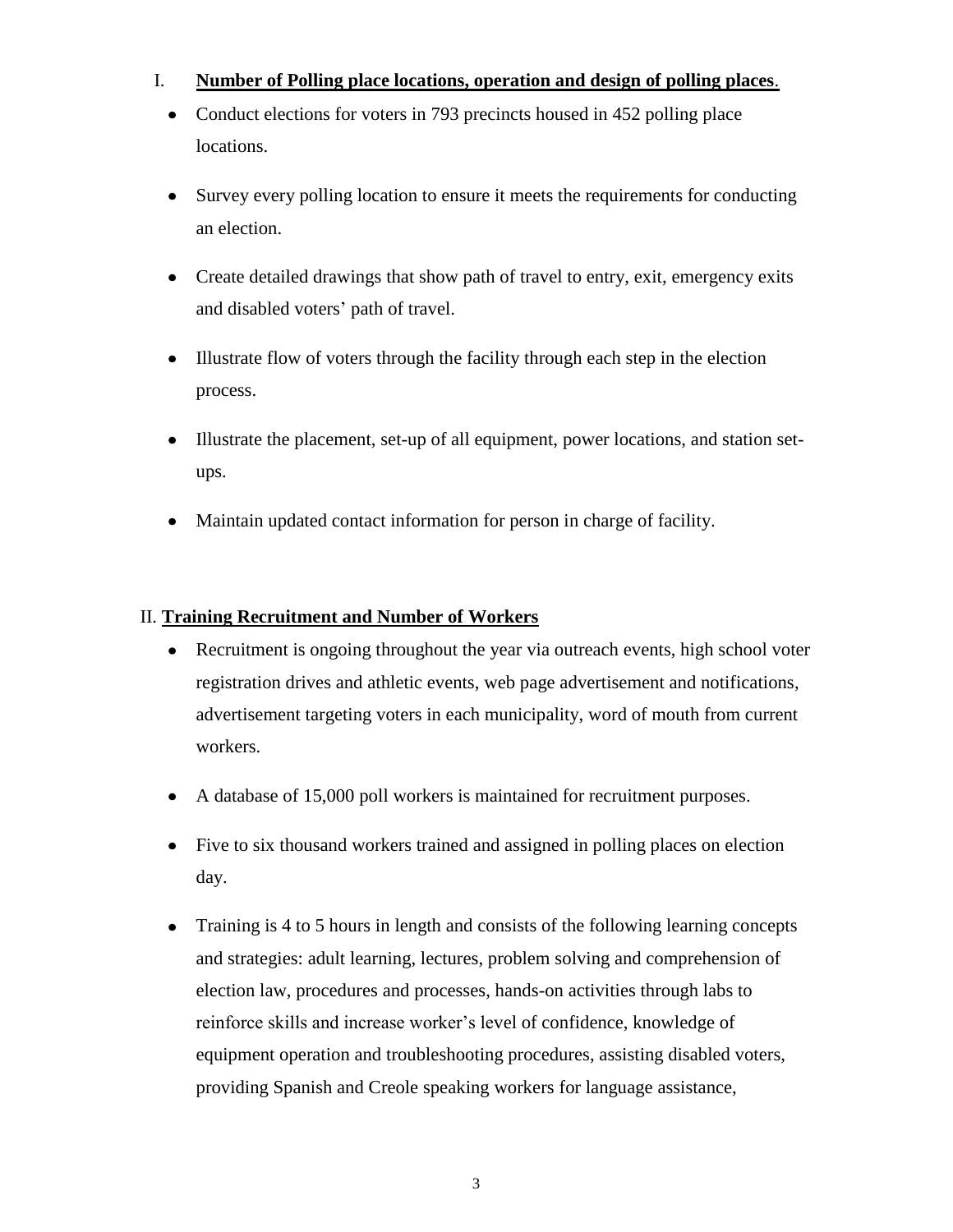# I. **Number of Polling place locations, operation and design of polling places**.

- Conduct elections for voters in 793 precincts housed in 452 polling place locations.
- Survey every polling location to ensure it meets the requirements for conducting an election.
- Create detailed drawings that show path of travel to entry, exit, emergency exits and disabled voters' path of travel.
- Illustrate flow of voters through the facility through each step in the election  $\bullet$ process.
- Illustrate the placement, set-up of all equipment, power locations, and station set- $\bullet$ ups.
- Maintain updated contact information for person in charge of facility.  $\bullet$

# II. **Training Recruitment and Number of Workers**

- Recruitment is ongoing throughout the year via outreach events, high school voter registration drives and athletic events, web page advertisement and notifications, advertisement targeting voters in each municipality, word of mouth from current workers.
- A database of 15,000 poll workers is maintained for recruitment purposes.  $\bullet$
- Five to six thousand workers trained and assigned in polling places on election day.
- $\bullet$ Training is 4 to 5 hours in length and consists of the following learning concepts and strategies: adult learning, lectures, problem solving and comprehension of election law, procedures and processes, hands-on activities through labs to reinforce skills and increase worker's level of confidence, knowledge of equipment operation and troubleshooting procedures, assisting disabled voters, providing Spanish and Creole speaking workers for language assistance,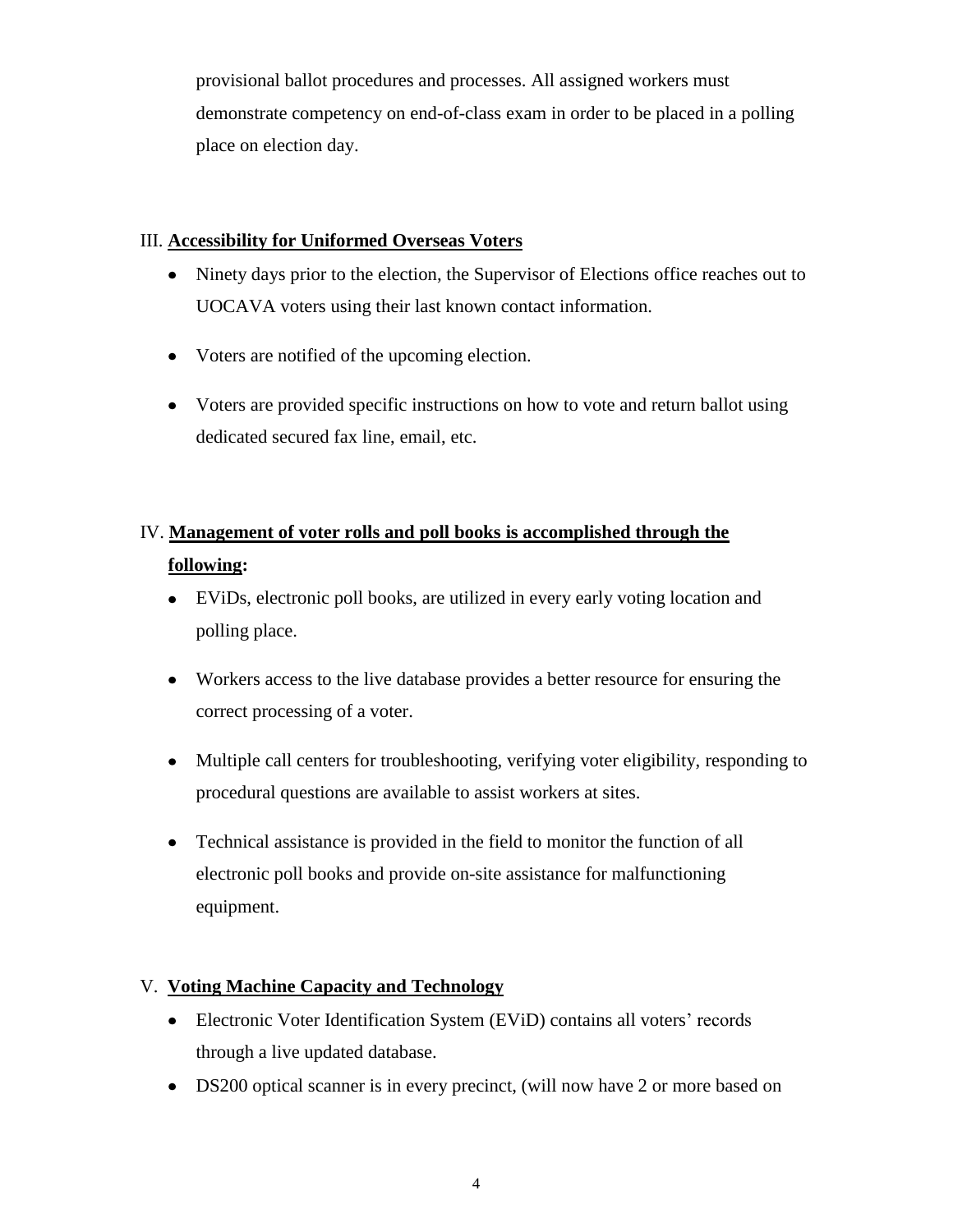provisional ballot procedures and processes. All assigned workers must demonstrate competency on end-of-class exam in order to be placed in a polling place on election day.

## III. **Accessibility for Uniformed Overseas Voters**

- Ninety days prior to the election, the Supervisor of Elections office reaches out to UOCAVA voters using their last known contact information.
- Voters are notified of the upcoming election.
- Voters are provided specific instructions on how to vote and return ballot using dedicated secured fax line, email, etc.

# IV. **Management of voter rolls and poll books is accomplished through the following:**

- EViDs, electronic poll books, are utilized in every early voting location and polling place.
- Workers access to the live database provides a better resource for ensuring the correct processing of a voter.
- Multiple call centers for troubleshooting, verifying voter eligibility, responding to procedural questions are available to assist workers at sites.
- Technical assistance is provided in the field to monitor the function of all electronic poll books and provide on-site assistance for malfunctioning equipment.

## V. **Voting Machine Capacity and Technology**

- Electronic Voter Identification System (EViD) contains all voters' records through a live updated database.
- DS200 optical scanner is in every precinct, (will now have 2 or more based on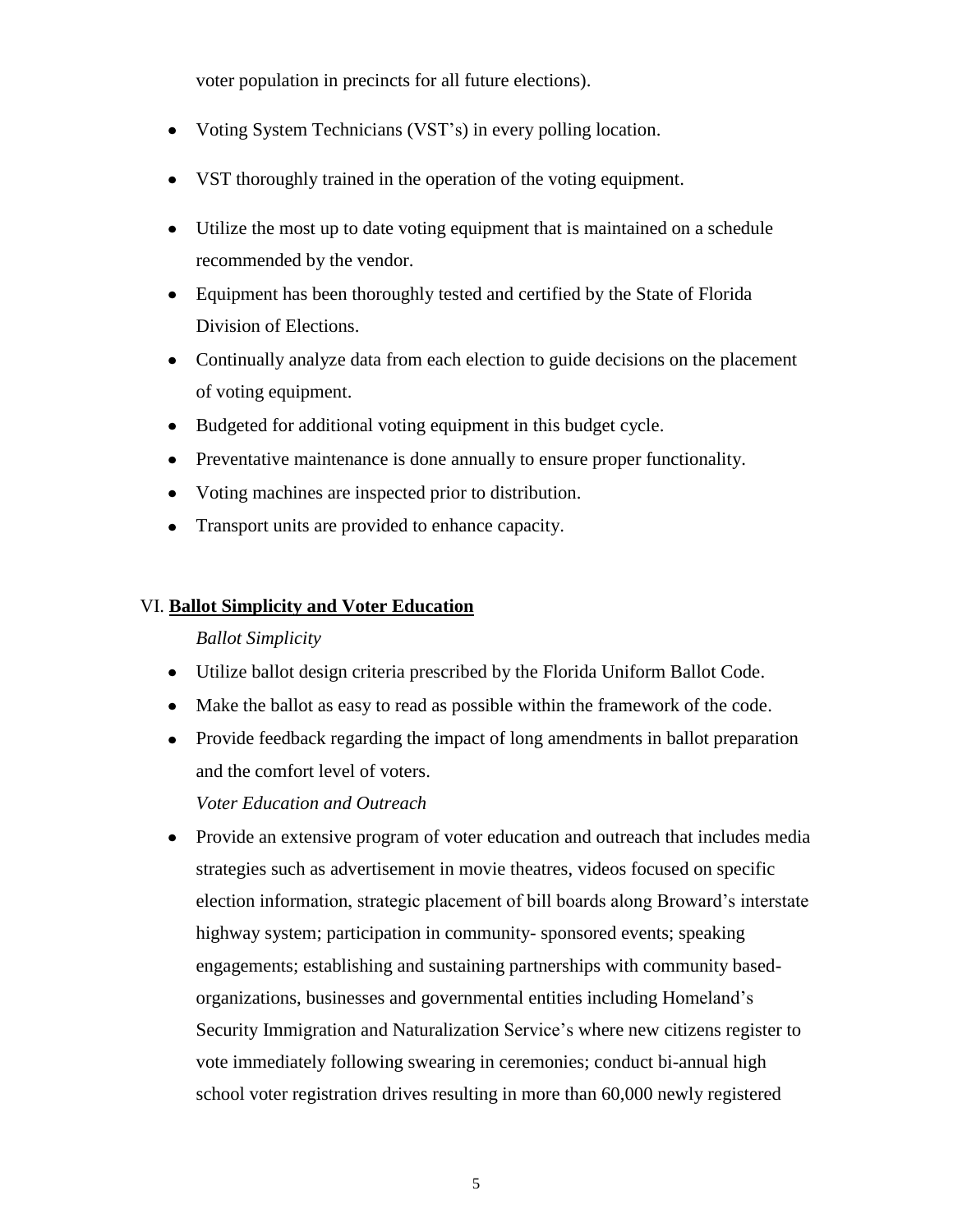voter population in precincts for all future elections).

- Voting System Technicians (VST's) in every polling location.
- VST thoroughly trained in the operation of the voting equipment.
- Utilize the most up to date voting equipment that is maintained on a schedule recommended by the vendor.
- Equipment has been thoroughly tested and certified by the State of Florida Division of Elections.
- Continually analyze data from each election to guide decisions on the placement of voting equipment.
- Budgeted for additional voting equipment in this budget cycle.
- Preventative maintenance is done annually to ensure proper functionality.
- Voting machines are inspected prior to distribution.
- Transport units are provided to enhance capacity.

#### VI. **Ballot Simplicity and Voter Education**

## *Ballot Simplicity*

- Utilize ballot design criteria prescribed by the Florida Uniform Ballot Code.
- Make the ballot as easy to read as possible within the framework of the code.
- Provide feedback regarding the impact of long amendments in ballot preparation and the comfort level of voters.

## *Voter Education and Outreach*

Provide an extensive program of voter education and outreach that includes media strategies such as advertisement in movie theatres, videos focused on specific election information, strategic placement of bill boards along Broward's interstate highway system; participation in community- sponsored events; speaking engagements; establishing and sustaining partnerships with community basedorganizations, businesses and governmental entities including Homeland's Security Immigration and Naturalization Service's where new citizens register to vote immediately following swearing in ceremonies; conduct bi-annual high school voter registration drives resulting in more than 60,000 newly registered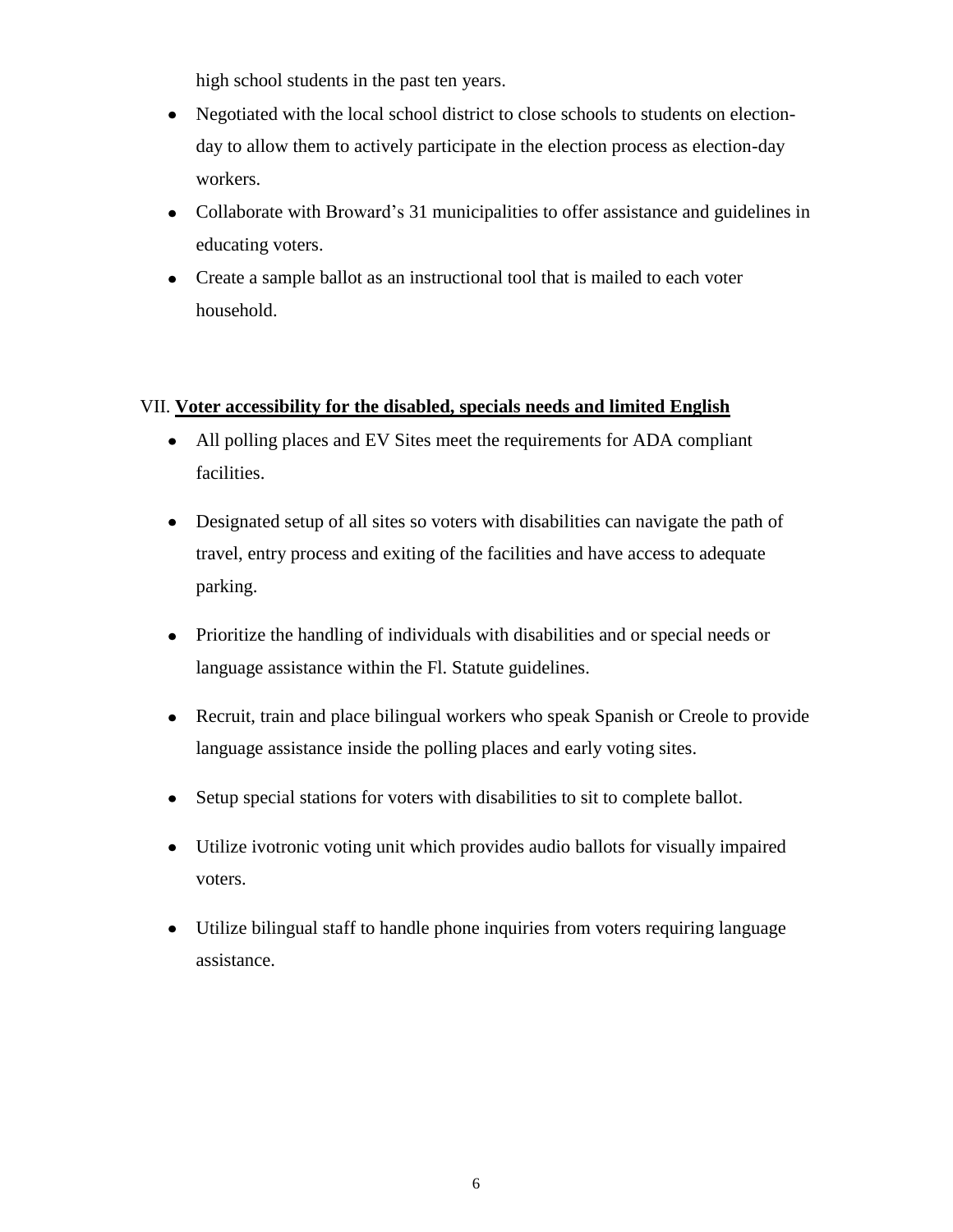high school students in the past ten years.

- Negotiated with the local school district to close schools to students on electionday to allow them to actively participate in the election process as election-day workers.
- Collaborate with Broward's 31 municipalities to offer assistance and guidelines in educating voters.
- Create a sample ballot as an instructional tool that is mailed to each voter household.

## VII. **Voter accessibility for the disabled, specials needs and limited English**

- All polling places and EV Sites meet the requirements for ADA compliant facilities.
- Designated setup of all sites so voters with disabilities can navigate the path of travel, entry process and exiting of the facilities and have access to adequate parking.
- Prioritize the handling of individuals with disabilities and or special needs or language assistance within the Fl. Statute guidelines.
- Recruit, train and place bilingual workers who speak Spanish or Creole to provide language assistance inside the polling places and early voting sites.
- Setup special stations for voters with disabilities to sit to complete ballot.
- Utilize ivotronic voting unit which provides audio ballots for visually impaired voters.
- Utilize bilingual staff to handle phone inquiries from voters requiring language assistance.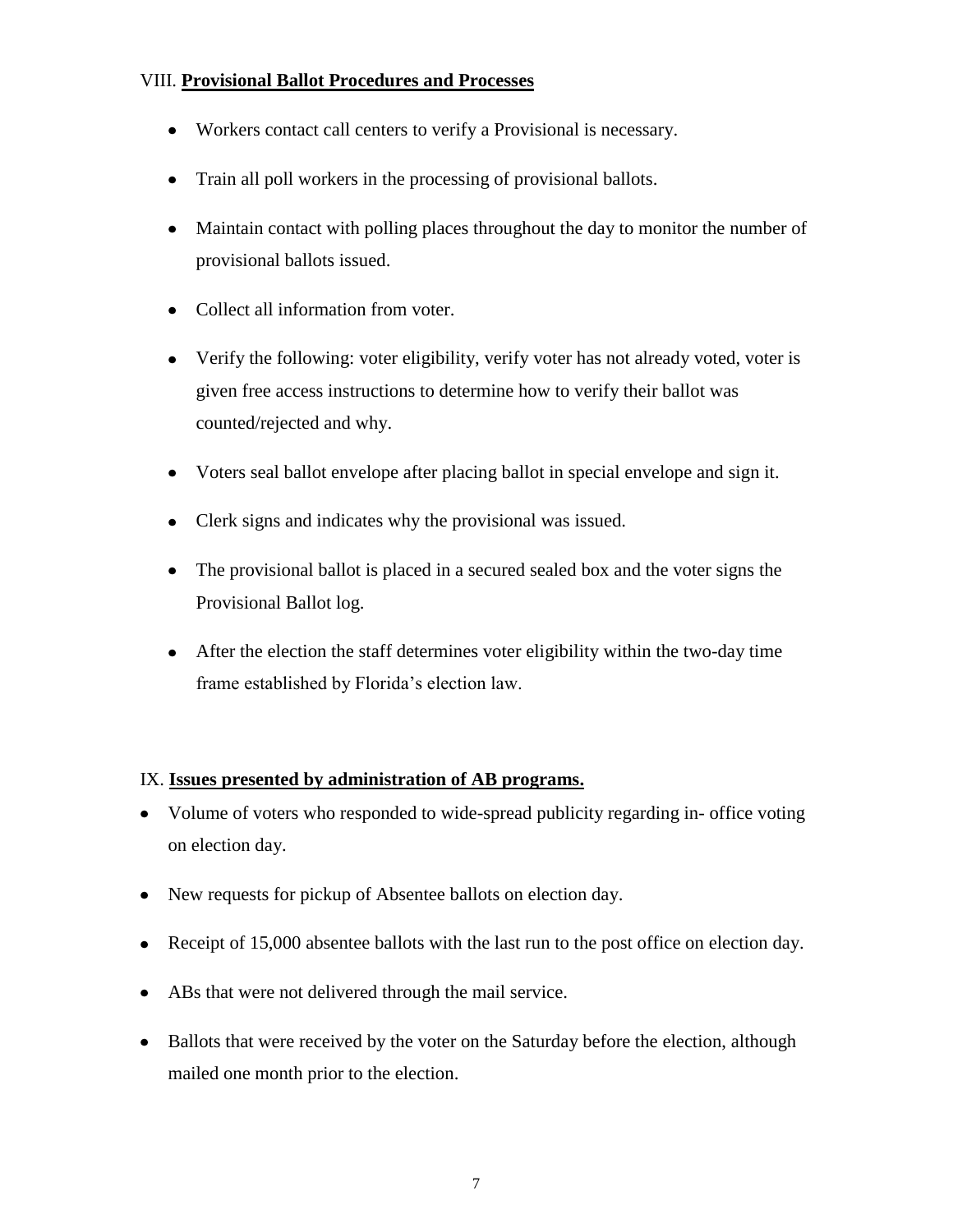# VIII. **Provisional Ballot Procedures and Processes**

- Workers contact call centers to verify a Provisional is necessary.
- Train all poll workers in the processing of provisional ballots.
- Maintain contact with polling places throughout the day to monitor the number of provisional ballots issued.
- Collect all information from voter.
- Verify the following: voter eligibility, verify voter has not already voted, voter is given free access instructions to determine how to verify their ballot was counted/rejected and why.
- Voters seal ballot envelope after placing ballot in special envelope and sign it.
- Clerk signs and indicates why the provisional was issued.
- The provisional ballot is placed in a secured sealed box and the voter signs the Provisional Ballot log.
- After the election the staff determines voter eligibility within the two-day time frame established by Florida's election law.

## IX. **Issues presented by administration of AB programs.**

- Volume of voters who responded to wide-spread publicity regarding in- office voting on election day.
- New requests for pickup of Absentee ballots on election day.
- Receipt of 15,000 absentee ballots with the last run to the post office on election day.
- ABs that were not delivered through the mail service.
- Ballots that were received by the voter on the Saturday before the election, although mailed one month prior to the election.